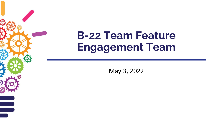## **B-22 Team Feature Engagement Team**

May 3, 2022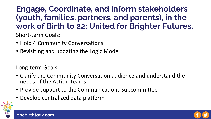### **Engage, Coordinate, and Inform stakeholders (youth, families, partners, and parents), in the work of Birth to 22: United for Brighter Futures.**

Short-term Goals:

- Hold 4 Community Conversations
- Revisiting and updating the Logic Model

### Long-term Goals:

- Clarify the Community Conversation audience and understand the needs of the Action Teams
- Provide support to the Communications Subcommittee
- Develop centralized data platform



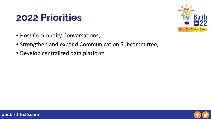## **2022 Priorities**



- Host Community Conversations;
- Strengthen and expand Communication Subcommittee;
- Develop centralized data platform

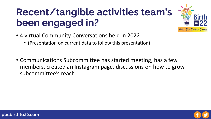## **Recent/tangible activities team's been engaged in?**

- 4 virtual Community Conversations held in 2022
	- (Presentation on current data to follow this presentation)
- Communications Subcommittee has started meeting, has a few members, created an Instagram page, discussions on how to grow subcommittee's reach



United For Brighter Futures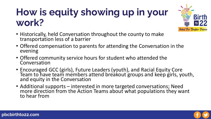## **How is equity showing up in your work?**



- Historically, held Conversation throughout the county to make transportation less of a barrier
- Offered compensation to parents for attending the Conversation in the evening
- Offered community service hours for student who attended the Conversation
- Encouraged GCC (girls), Future Leaders (youth), and Racial Equity Core Team to have team members attend breakout groups and keep girls, youth, and equity in the Conversation
- Additional supports interested in more targeted conversations; Need more direction from the Action Teams about what populations they want to hear from

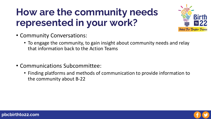## **How are the community needs represented in your work?**



- Community Conversations:
	- To engage the community, to gain insight about community needs and relay that information back to the Action Teams
- Communications Subcommittee:
	- Finding platforms and methods of communication to provide information to the community about B-22

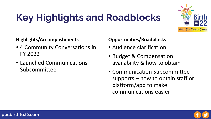# **Key Highlights and Roadblocks**



#### **Highlights/Accomplishments**

- 4 Community Conversations in FY 2022
- Launched Communications Subcommittee

### **Opportunities/Roadblocks**

- Audience clarification
- Budget & Compensation availability & how to obtain
- Communication Subcommittee supports – how to obtain staff or platform/app to make communications easier

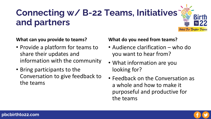## **Connecting w/ B-22 Teams, Initiatives and partners**

**What can you provide to teams?**

- Provide a platform for teams to share their updates and information with the community
- Bring participants to the Conversation to give feedback to the teams

#### **What do you need from teams?**

- Audience clarification who do you want to hear from?
- What information are you looking for?
- Feedback on the Conversation as a whole and how to make it purposeful and productive for the teams



United For Brighter Futures